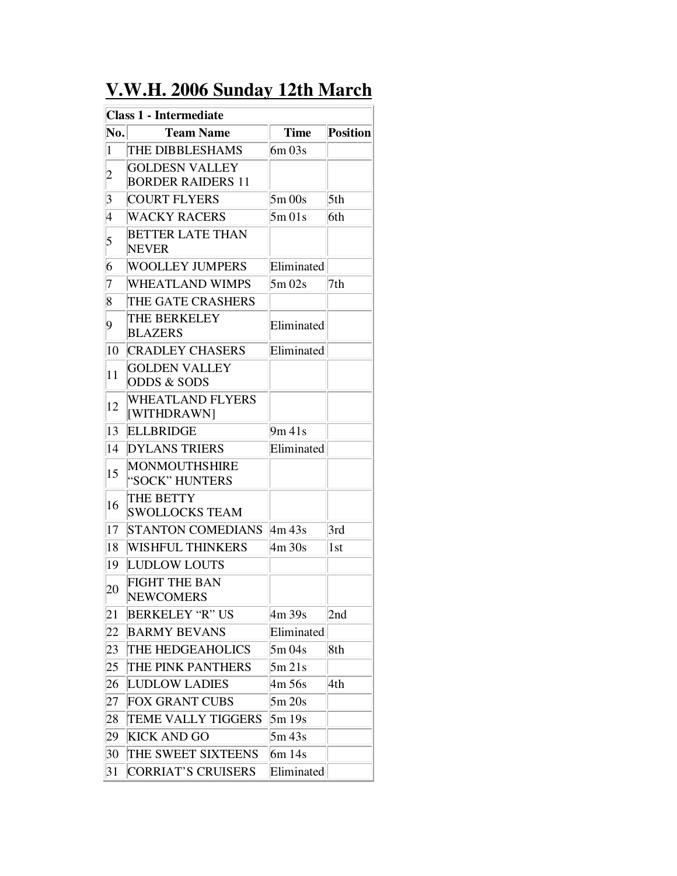## **V.W.H. 2006 Sunday 12th March**

| <b>Class 1 - Intermediate</b> |                                                   |             |                 |  |
|-------------------------------|---------------------------------------------------|-------------|-----------------|--|
| No.                           | <b>Team Name</b>                                  | <b>Time</b> | <b>Position</b> |  |
| $\mathbf{1}$                  | THE DIBBLESHAMS                                   | $6m\,03s$   |                 |  |
| $\overline{\mathbf{c}}$       | <b>GOLDESN VALLEY</b><br><b>BORDER RAIDERS 11</b> |             |                 |  |
| 3                             | <b>COURT FLYERS</b>                               | $5m$ 00s    | 5th             |  |
| 4                             | <b>WACKY RACERS</b>                               | 5m01s       | 6th             |  |
| 5                             | <b>BETTER LATE THAN</b><br><b>NEVER</b>           |             |                 |  |
| 6                             | <b>WOOLLEY JUMPERS</b>                            | Eliminated  |                 |  |
| 7                             | <b>WHEATLAND WIMPS</b>                            | $5m$ 02s    | 7th             |  |
| 8                             | THE GATE CRASHERS                                 |             |                 |  |
| 9                             | THE BERKELEY<br><b>BLAZERS</b>                    | Eliminated  |                 |  |
| 10                            | <b>CRADLEY CHASERS</b>                            | Eliminated  |                 |  |
| 11                            | <b>GOLDEN VALLEY</b><br><b>ODDS &amp; SODS</b>    |             |                 |  |
| 12                            | <b>WHEATLAND FLYERS</b><br>[WITHDRAWN]            |             |                 |  |
| 13                            | <b>ELLBRIDGE</b>                                  | 9m 41s      |                 |  |
| 14                            | <b>DYLANS TRIERS</b>                              | Eliminated  |                 |  |
| 15                            | MONMOUTHSHIRE<br>"SOCK" HUNTERS                   |             |                 |  |
| 16                            | THE BETTY<br><b>SWOLLOCKS TEAM</b>                |             |                 |  |
| 17                            | <b>STANTON COMEDIANS</b>                          | 4m 43s      | 3rd             |  |
| 18                            | <b>WISHFUL THINKERS</b>                           | 4m 30s      | 1st             |  |
| 19                            | <b>LUDLOW LOUTS</b>                               |             |                 |  |
| 20                            | <b>FIGHT THE BAN</b><br><b>NEWCOMERS</b>          |             |                 |  |
| 21                            | <b>BERKELEY "R" US</b>                            | 4m 39s      | 2nd             |  |
| 22                            | <b>BARMY BEVANS</b>                               | Eliminated  |                 |  |
| 23                            | THE HEDGEAHOLICS                                  | 5m 04s      | 8th             |  |
| 25                            | THE PINK PANTHERS                                 | 5m 21s      |                 |  |
| 26                            | <b>LUDLOW LADIES</b>                              | 4m 56s      | 4th             |  |
| 27                            | <b>FOX GRANT CUBS</b>                             | 5m 20s      |                 |  |
| 28                            | <b>TEME VALLY TIGGERS</b>                         | 5m19s       |                 |  |
| 29                            | <b>KICK AND GO</b>                                | 5m 43s      |                 |  |
| 30                            | THE SWEET SIXTEENS                                | 6m 14s      |                 |  |
| 31                            | <b>CORRIAT'S CRUISERS</b>                         | Eliminated  |                 |  |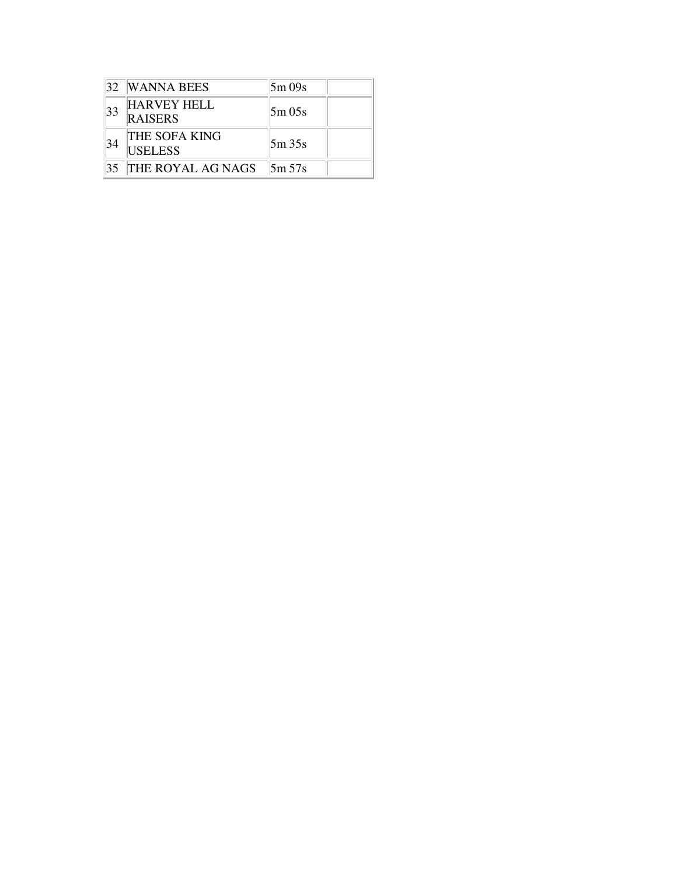|    | 32 WANNA BEES                        | 5m09s  |
|----|--------------------------------------|--------|
| 33 | <b>HARVEY HELL</b><br><b>RAISERS</b> | 5m 05s |
| 34 | THE SOFA KING<br><b>USELESS</b>      | 5m35s  |
|    | <b>THE ROYAL AG NAGS</b>             | 5m 57s |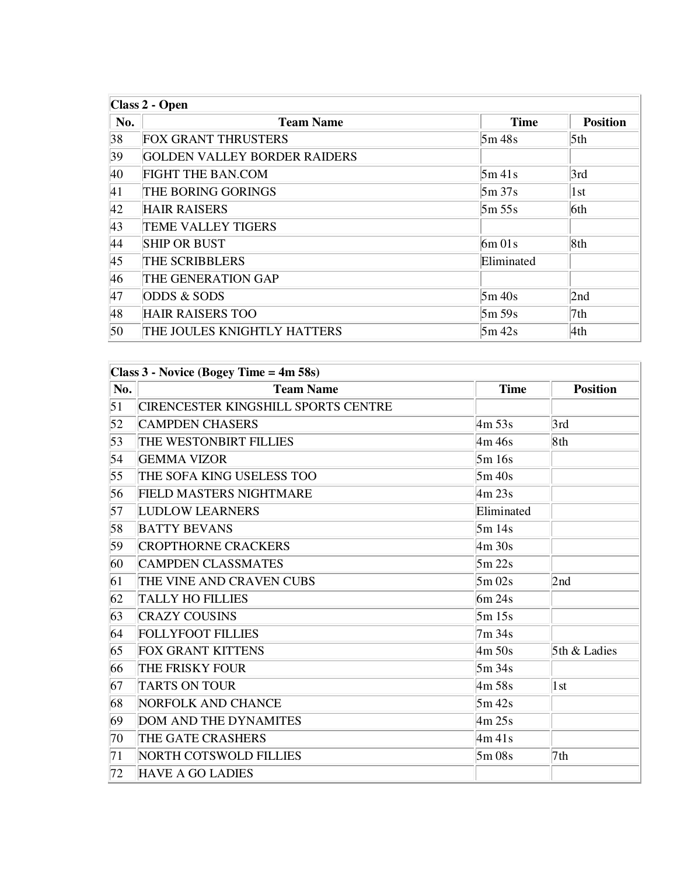| Class 2 - Open |                                     |             |                 |
|----------------|-------------------------------------|-------------|-----------------|
| No.            | <b>Team Name</b>                    | <b>Time</b> | <b>Position</b> |
| 38             | <b>FOX GRANT THRUSTERS</b>          | 5m48s       | 5 <sup>th</sup> |
| 39             | <b>GOLDEN VALLEY BORDER RAIDERS</b> |             |                 |
| 40             | <b>FIGHT THE BAN.COM</b>            | $5m$ 41s    | 3rd             |
| 41             | THE BORING GORINGS                  | 5m37s       | 1st             |
| 42             | <b>HAIR RAISERS</b>                 | 5m 55s      | 6th             |
| 43             | <b>TEME VALLEY TIGERS</b>           |             |                 |
| 44             | <b>SHIP OR BUST</b>                 | $6m$ 01s    | 8th             |
| 45             | THE SCRIBBLERS                      | Eliminated  |                 |
| 46             | THE GENERATION GAP                  |             |                 |
| 47             | <b>ODDS &amp; SODS</b>              | 5m/40s      | 2nd             |
| 48             | <b>HAIR RAISERS TOO</b>             | 5m 59s      | 7th             |
| 50             | THE JOULES KNIGHTLY HATTERS         | $5m$ 42s    | 4th             |

| No. | <b>Team Name</b>                           | <b>Time</b>                    | <b>Position</b> |
|-----|--------------------------------------------|--------------------------------|-----------------|
| 51  | <b>CIRENCESTER KINGSHILL SPORTS CENTRE</b> |                                |                 |
| 52  | <b>CAMPDEN CHASERS</b>                     | $\frac{\text{4m}}{\text{53s}}$ | 3rd             |
| 53  | THE WESTONBIRT FILLIES                     | 4m 46s                         | 8th             |
| 54  | <b>GEMMA VIZOR</b>                         | 5m 16s                         |                 |
| 55  | THE SOFA KING USELESS TOO                  | 5m 40s                         |                 |
| 56  | <b>FIELD MASTERS NIGHTMARE</b>             | $\frac{\text{4m}}{\text{23s}}$ |                 |
| 57  | <b>LUDLOW LEARNERS</b>                     | Eliminated                     |                 |
| 58  | <b>BATTY BEVANS</b>                        | 5m14s                          |                 |
| 59  | <b>CROPTHORNE CRACKERS</b>                 | $\frac{\text{4m}}{\text{30s}}$ |                 |
| 60  | <b>CAMPDEN CLASSMATES</b>                  | 5m 22s                         |                 |
| 61  | THE VINE AND CRAVEN CUBS                   | 5m02s                          | 2nd             |
| 62  | <b>TALLY HO FILLIES</b>                    | 6m 24s                         |                 |
| 63  | <b>CRAZY COUSINS</b>                       | 5m15s                          |                 |
| 64  | <b>FOLLYFOOT FILLIES</b>                   | 7m 34s                         |                 |
| 65  | <b>FOX GRANT KITTENS</b>                   | $\mathrm{4m}$ 50s              | 5th & Ladies    |
| 66  | THE FRISKY FOUR                            | 5m 34s                         |                 |
| 67  | <b>TARTS ON TOUR</b>                       | $\frac{\text{4m}}{\text{58s}}$ | 1st             |
| 68  | NORFOLK AND CHANCE                         | $5m$ 42s                       |                 |
| 69  | <b>DOM AND THE DYNAMITES</b>               | $\text{4m}$ 25s                |                 |
| 70  | THE GATE CRASHERS                          | $\frac{4m}{41s}$               |                 |
| 71  | <b>NORTH COTSWOLD FILLIES</b>              | 5m 08s                         | 7th             |
| 72  | <b>HAVE A GO LADIES</b>                    |                                |                 |